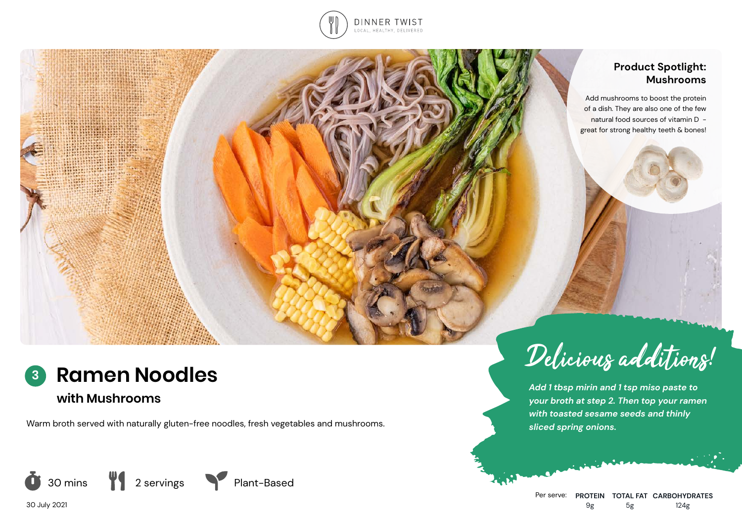

### **Product Spotlight: Mushrooms**

Add mushrooms to boost the protein of a dish. They are also one of the few natural food sources of vitamin D great for strong healthy teeth & bones!



*Add 1 tbsp mirin and 1 tsp miso paste to your broth at step 2. Then top your ramen with toasted sesame seeds and thinly sliced spring onions.*



## **Ramen Noodles 3**

# **with Mushrooms**

Warm broth served with naturally gluten-free noodles, fresh vegetables and mushrooms.



30 July 2021